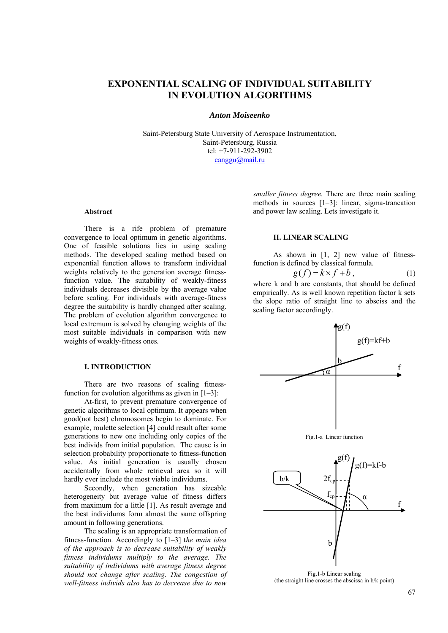# **EXPONENTIAL SCALING OF INDIVIDUAL SUITABILITY IN EVOLUTION ALGORITHMS**

#### *Anton Moiseenko*

Saint-Petersburg State University of Aerospace Instrumentation, Saint-Petersburg, Russia tel: +7-911-292-3902 canggu@mail.ru

#### **Abstract**

There is a rife problem of premature convergence to local optimum in genetic algorithms. One of feasible solutions lies in using scaling methods. The developed scaling method based on exponential function allows to transform individual weights relatively to the generation average fitnessfunction value. The suitability of weakly-fitness individuals decreases divisible by the average value before scaling. For individuals with average-fitness degree the suitability is hardly changed after scaling. The problem of evolution algorithm convergence to local extremum is solved by changing weights of the most suitable individuals in comparison with new weights of weakly-fitness ones.

#### **I. INTRODUCTION**

There are two reasons of scaling fitnessfunction for evolution algorithms as given in  $[1-3]$ :

At-first, to prevent premature convergence of genetic algorithms to local optimum. It appears when good(not best) chromosomes begin to dominate. For example, roulette selection [4] could result after some generations to new one including only copies of the best individs from initial population. The cause is in selection probability proportionate to fitness-function value. As initial generation is usually chosen accidentally from whole retrieval area so it will hardly ever include the most viable individums.

Secondly, when generation has sizeable heterogeneity but average value of fitness differs from maximum for a little [1]. As result average and the best individums form almost the same offspring amount in following generations.

The scaling is an appropriate transformation of fitness-function. Accordingly to [1–3] t*he main idea of the approach is to decrease suitability of weakly fitness individums multiply to the average. The suitability of individums with average fitness degree should not change after scaling. The congestion of well-fitness individs also has to decrease due to new* 

*smaller fitness degree.* There are three main scaling methods in sources [1–3]: linear, sigma-trancation and power law scaling. Lets investigate it.

#### **II. LINEAR SCALING**

As shown in [1, 2] new value of fitnessfunction is defined by classical formula.

$$
g(f) = k \times f + b, \tag{1}
$$

where k and b are constants, that should be defined empirically. As is well known repetition factor k sets the slope ratio of straight line to absciss and the scaling factor accordingly.



(the straight line crosses the abscissa in b/k point)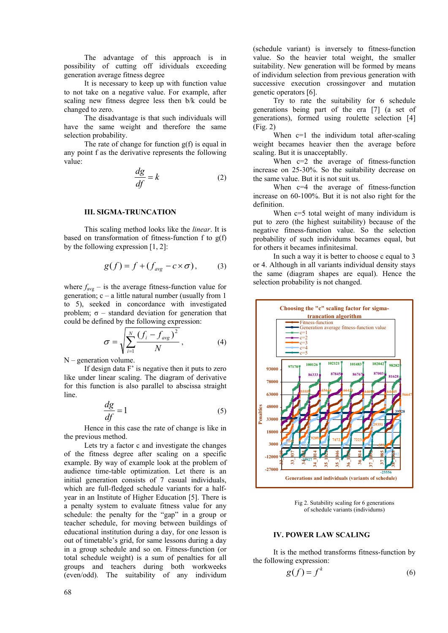The advantage of this approach is in possibility of cutting off idividuals exceeding generation average fitness degree

It is necessary to keep up with function value to not take on a negative value. For example, after scaling new fitness degree less then b/k could be changed to zero.

The disadvantage is that such individuals will have the same weight and therefore the same selection probability.

The rate of change for function g(f) is equal in any point f as the derivative represents the following value:

$$
\frac{dg}{df} = k \tag{2}
$$

#### **III. SIGMA-TRUNCATION**

This scaling method looks like the *linear*. It is based on transformation of fitness-function f to  $g(f)$ by the following expression [1, 2]:

$$
g(f) = f + (f_{avg} - c \times \sigma), \qquad (3)
$$

where  $f_{\text{avg}}$  – is the average fitness-function value for generation;  $c - a$  little natural number (usually from 1) to 5), seeked in concordance with investigated problem;  $\sigma$  – standard deviation for generation that could be defined by the following expression:

$$
\sigma = \sqrt{\sum_{i=1}^{N} \frac{(f_i - f_{avg})^2}{N}}, \qquad (4)
$$

N – generation volume.

If design data F' is negative then it puts to zero like under linear scaling. The diagram of derivative for this function is also parallel to abscissa straight line.

$$
\frac{dg}{df} = 1\tag{5}
$$

Hence in this case the rate of change is like in the previous method.

Lets try a factor c and investigate the changes of the fitness degree after scaling on a specific example. By way of example look at the problem of audience time-table optimization. Let there is an initial generation consists of 7 casual individuals, which are full-fledged schedule variants for a halfyear in an Institute of Higher Education [5]. There is a penalty system to evaluate fitness value for any schedule: the penalty for the "gap" in a group or teacher schedule, for moving between buildings of educational institution during a day, for one lesson is out of timetable's grid, for same lessons during a day in a group schedule and so on. Fitness-function (or total schedule weight) is a sum of penalties for all groups and teachers during both workweeks (even/odd). The suitability of any individum

(schedule variant) is inversely to fitness-function value. So the heavier total weight, the smaller suitability. New generation will be formed by means of individum selection from previous generation with successive execution crossingover and mutation genetic operators [6].

Try to rate the suitability for 6 schedule generations being part of the era [7] (a set of generations), formed using roulette selection [4] (Fig. 2)

When c=1 the individum total after-scaling weight becames heavier then the average before scaling. But it is unacceptablly.

When c=2 the average of fitness-function increase on 25-30%. So the suitability decrease on the same value. But it is not suit us.

When c=4 the average of fitness-function increase on 60-100%. But it is not also right for the definition.

When  $c=5$  total weight of many individum is put to zero (the highest suitability) because of the negative fitness-function value. So the selection probability of such individums becames equal, but for others it becames infinitesimal.

In such a way it is better to choose c equal to 3 or 4. Although in all variants individual density stays the same (diagram shapes are equal). Hence the selection probability is not changed.



Fig 2. Sutability scaling for 6 generations of schedule variants (individums)

#### **IV. POWER LAW SCALING**

It is the method transforms fitness-function by the following expression:

$$
g(f) = f^k \tag{6}
$$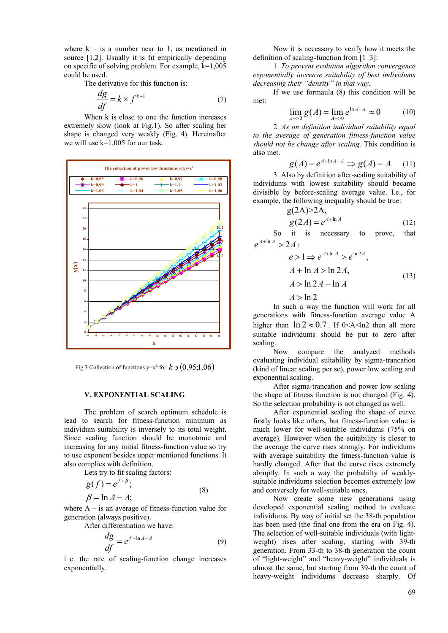where  $k - is a number near to 1$ , as mentioned in source [1,2]. Usually it is fit empirically depending on specific of solving problem. For example, k=1,005 could be used.

The derivative for this function is:

$$
\frac{dg}{df} = k \times f^{k-1} \tag{7}
$$

When k is close to one the function increases extremely slow (look at Fig.1). So after scaling her shape is changed very weakly (Fig. 4). Hereinafter we will use k=1,005 for our task.



Fig.3 Collection of functions y=x<sup>k</sup> for  $k \ni (0.95;1.06)$ 

#### **V. EXPONENTIAL SCALING**

The problem of search optimum schedule is lead to search for fitness-function minimum as individum suitability is inversely to its total weight. Since scaling function should be monotonic and increasing for any initial fitness-function value so try to use exponent besides upper mentioned functions. It also complies with definition.

Lets try to fit scaling factors:

$$
g(f) = e^{f+\beta};
$$
  
\n
$$
\beta = \ln A - A;
$$
\n(8)

where  $A - iS$  an average of fitness-function value for generation (always positive).

After differentiation we have:

$$
\frac{dg}{df} = e^{f + \ln A - A} \tag{9}
$$

i. e. the rate of scaling-function change increases exponentially.

Now it is necessary to verify how it meets the definition of scaling-function from [1–3]:

1. *To prevent evolution algorithm convergence exponentially increase suitability of best individums decreasing their "density" in that way.*

If we use formaula (8) this condition will be met:

$$
\lim_{A \to 0} g(A) = \lim_{A \to 0} e^{\ln A - A} \approx 0 \tag{10}
$$

2. *As on definition individual suitability equal to the average of generation fitness-function value should not be change after scaling.* This condition is also met.

$$
g(A) = e^{A + \ln A - A} \Rightarrow g(A) = A \qquad (11)
$$

3. Also by definition after-scaling suitability of individums with lowest suitability should became divisible by before-scaling average value. I.e., for example, the following inequality should be true:

$$
g(2A) > 2A,
$$
  
\n
$$
g(2A) = e^{A + \ln A}
$$
\n(12)

So it is necessary to prove, that  $e^{A+\ln A} > 2A$ :

$$
e > 1 \Rightarrow e^{A + \ln A} > e^{\ln 2A},
$$
  
\n
$$
A + \ln A > \ln 2A,
$$
  
\n
$$
A > \ln 2A - \ln A
$$
\n(13)

# $A > \ln 2$

In such a way the function will work for all generations with fitness-function average value A higher than  $\ln 2 \approx 0.7$ . If 0<A<ln2 then all more suitable individums should be put to zero after scaling.

Now compare the analyzed methods evaluating individual suitability by sigma-trancation (kind of linear scaling per se), power low scaling and exponential scaling.

After sigma-trancation and power low scaling the shape of fitness function is not changed (Fig. 4). So the selection probability is not changed as well.

After exponential scaling the shape of curve firstly looks like others, but fitness-function value is much lower for well-suitable individums (75% on average). However when the suitability is closer to the average the curve rises strongly. For individums with average suitability the fitness-function value is hardly changed. After that the curve rises extremely abruptly. In such a way the probabilty of weaklysuitable individums selection becomes extremely low and conversely for well-suitable ones.

Now create some new generations using developed exponential scaling method to evaluate individums. By way of initial set the 38-th population has been used (the final one from the era on Fig. 4). The selection of well-suitable individuals (with lightweight) rises after scaling, starting with 39-th generation. From 33-th to 38-th generation the count of "light-weight" and "heavy-weight" individuals is almost the same, but starting from 39-th the count of heavy-weight individums decrease sharply. Of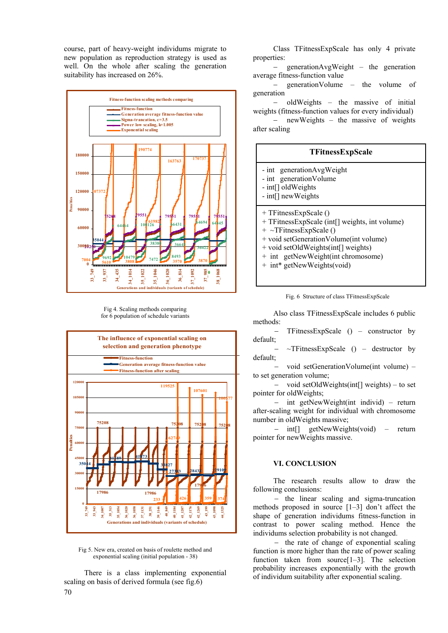course, part of heavy-weight individums migrate to new population as reproduction strategy is used as well. On the whole after scaling the generation suitability has increased on 26%.



Fig 4. Scaling methods comparing for 6 population of schedule variants



Fig 5. New era, created on basis of roulette method and exponential scaling (initial population - 38)

There is a class implementing exponential scaling on basis of derived formula (see fig.6)

Class TFitnessExpScale has only 4 private properties:

− generationAvgWeight – the generation average fitness-function value

− generationVolume – the volume of generation

− oldWeights – the massive of initial weights (fitness-function values for every individual)

− newWeights – the massive of weights after scaling

| TFitnessExpScale                                                                                                                                                                                                                                       |
|--------------------------------------------------------------------------------------------------------------------------------------------------------------------------------------------------------------------------------------------------------|
| - int generation Avg Weight<br>- int generation Volume<br>- int[] oldWeights<br>$-$ int[] new Weights                                                                                                                                                  |
| + TFitnessExpScale ()<br>+ TFitnessExpScale (int[] weights, int volume)<br>+ ~TFitnessExpScale ()<br>+ void setGenerationVolume(int volume)<br>+ void setOldWeights(int[] weights)<br>+ int getNewWeight(int chromosome)<br>+ int* getNewWeights(void) |

Fig. 6 Structure of class TFitnessExpScale

Also class TFitnessExpScale includes 6 public methods:

− TFitnessExpScale () – constructor by default;

− ~TFitnessExpScale () – destructor by default;

− void setGenerationVolume(int volume) – to set generation volume;

− void setOldWeights(int[] weights) – to set pointer for oldWeights;

− int getNewWeight(int individ) – return after-scaling weight for individual with chromosome number in oldWeights massive;

− int[] getNewWeights(void) – return pointer for newWeights massive.

## **VI. CONCLUSION**

The research results allow to draw the following conclusions:

− the linear scaling and sigma-truncation methods proposed in source [1–3] don't affect the shape of generation individums fitness-function in contrast to power scaling method. Hence the individums selection probability is not changed.

− the rate of change of exponential scaling function is more higher than the rate of power scaling function taken from source[1–3]. The selection probability increases exponentially with the growth of individum suitability after exponential scaling.